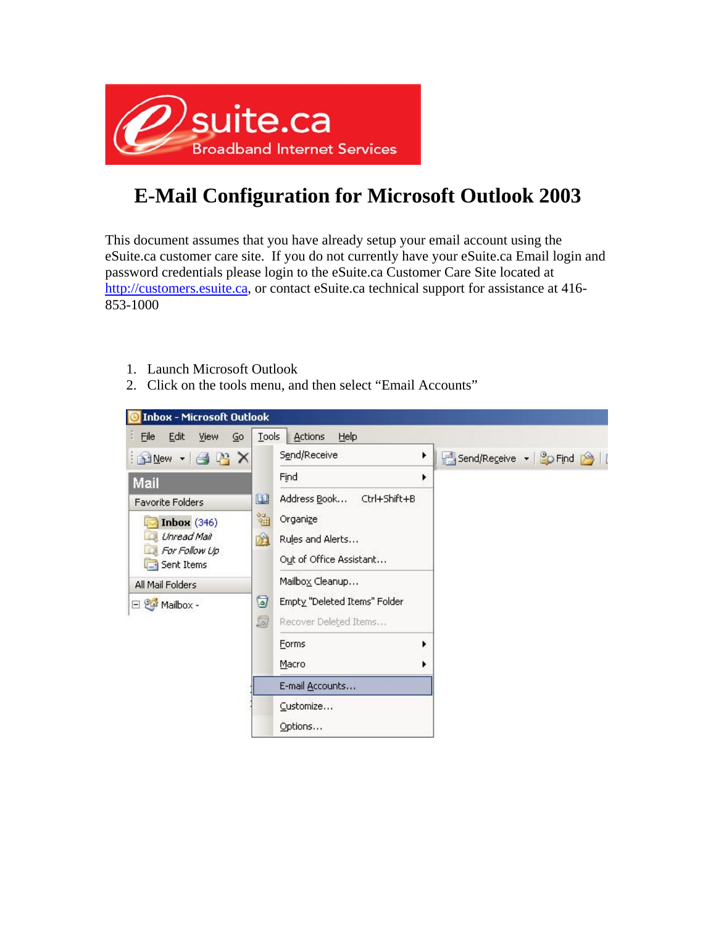

## **E-Mail Configuration for Microsoft Outlook 2003**

This document assumes that you have already setup your email account using the eSuite.ca customer care site. If you do not currently have your eSuite.ca Email login and password credentials please login to the eSuite.ca Customer Care Site located at http://customers.esuite.ca, or contact eSuite.ca technical support for assistance at 416-853-1000

- 1. Launch Microsoft Outlook
- 2. Click on the tools menu, and then select "Email Accounts"

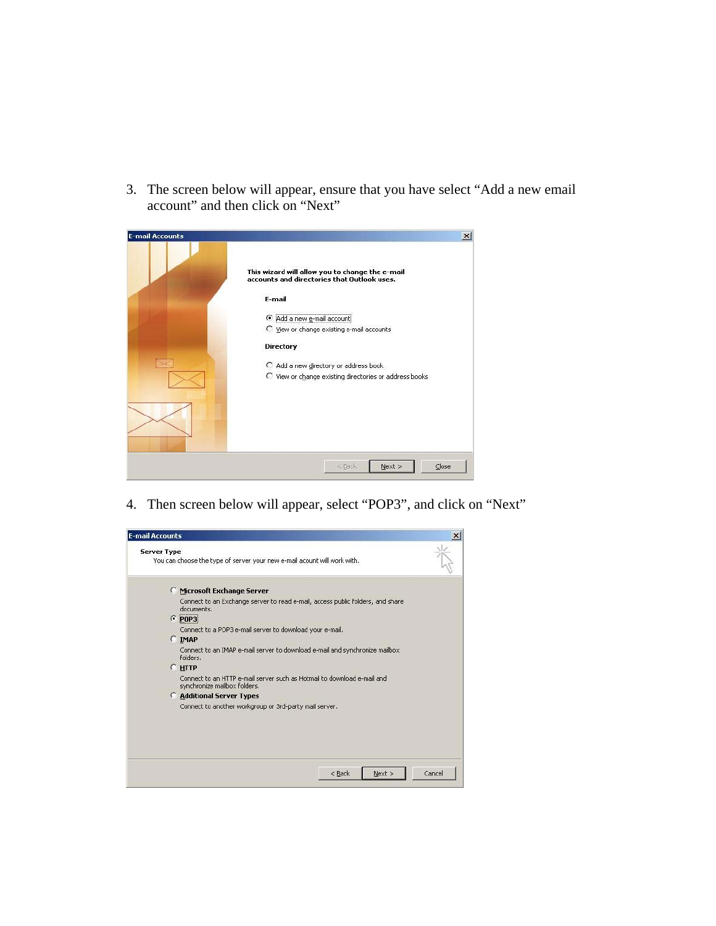3. The screen below will appear, ensure that you have select "Add a new email account" and then click on "Next"

| <b>E-mail Accounts</b> | $\boldsymbol{\mathsf{x}}$<br>This wizard will allow you to change the e-mail<br>accounts and directories that Outlook uses.                                                                            |
|------------------------|--------------------------------------------------------------------------------------------------------------------------------------------------------------------------------------------------------|
|                        | E-mail<br>Add a new e-mail account<br>C View or change existing e-mail accounts<br><b>Directory</b><br>C Add a new directory or address book<br>C View or change existing directories or address books |
|                        | Close<br>Next<br>$<$ Back                                                                                                                                                                              |

4. Then screen below will appear, select "POP3", and click on "Next"

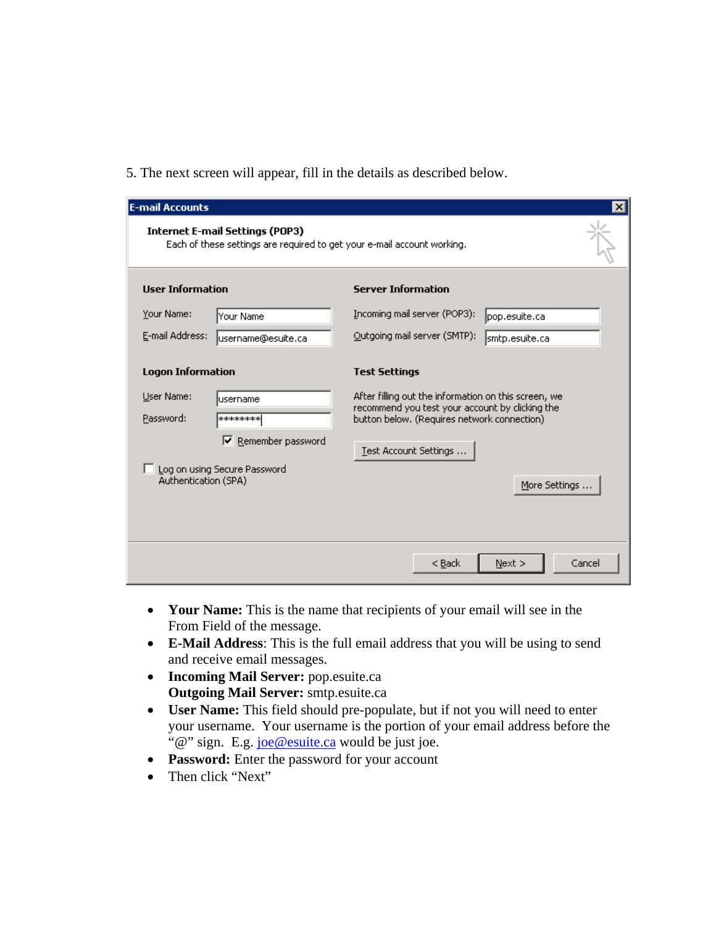5. The next screen will appear, fill in the details as described below.

| <b>E-mail Accounts</b>                                                                                            |                              |                                                                                                                                                        | $\vert x \vert$ |
|-------------------------------------------------------------------------------------------------------------------|------------------------------|--------------------------------------------------------------------------------------------------------------------------------------------------------|-----------------|
| <b>Internet E-mail Settings (POP3)</b><br>Each of these settings are required to get your e-mail account working. |                              |                                                                                                                                                        |                 |
| <b>User Information</b>                                                                                           |                              | <b>Server Information</b>                                                                                                                              |                 |
| Your Name:                                                                                                        | Your Name                    | Incoming mail server (POP3):                                                                                                                           | pop.esuite.ca   |
| E-mail Address:                                                                                                   | username@esuite.ca           | Qutgoing mail server (SMTP):                                                                                                                           | smtp.esuite.ca  |
| <b>Logon Information</b>                                                                                          |                              | <b>Test Settings</b>                                                                                                                                   |                 |
| User Name:<br>Password:                                                                                           | username<br>********         | After filling out the information on this screen, we<br>recommend you test your account by clicking the<br>button below. (Requires network connection) |                 |
|                                                                                                                   | Remember password<br> ⊽      | Test Account Settings                                                                                                                                  |                 |
| Authentication (SPA)                                                                                              | Log on using Secure Password |                                                                                                                                                        | More Settings   |
|                                                                                                                   |                              | < Back                                                                                                                                                 | Next<br>Cancel  |

- **Your Name:** This is the name that recipients of your email will see in the From Field of the message.
- **E-Mail Address**: This is the full email address that you will be using to send and receive email messages.
- **Incoming Mail Server:** pop.esuite.ca **Outgoing Mail Server:** smtp.esuite.ca
- **User Name:** This field should pre-populate, but if not you will need to enter your username. Your username is the portion of your email address before the "@" sign. E.g. joe@esuite.ca would be just joe.
- **Password:** Enter the password for your account
- Then click "Next"